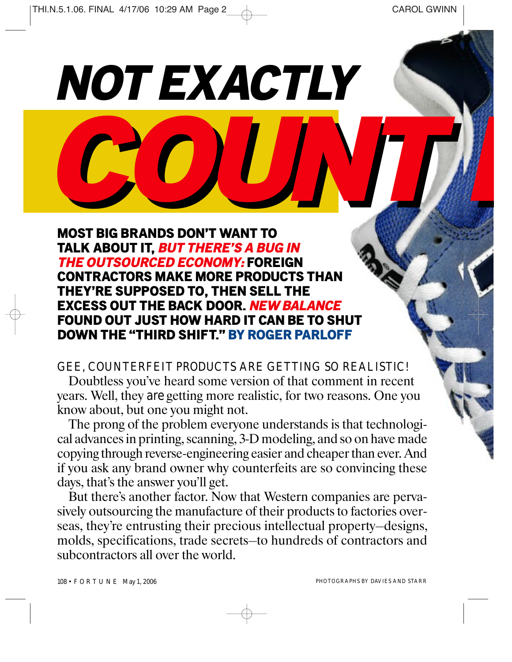*E*

*COUNT* **MOST BIG BRANDS DON'T WANT TO TALK ABOUT IT,** *BUT THERE'S A BUG IN THE OUTSOURCED ECONOMY:* **FOREIGN CONTRACTORS MAKE MORE PRODUCTS THAN THEY'RE SUPPOSED TO, THEN SELL THE EXCESS OUT THE BACK DOOR.** *NEW BALANCE* **FOUND OUT JUST HOW HARD IT CAN BE TO SHUT DOWN THE "THIRD SHIFT." BY ROGER PARLOFF**

*NOT EXACTLY* 

*GEE, COUNTERFEIT PRODUCTS ARE GETTING SO REALISTIC!*  Doubtless you've heard some version of that comment in recent years. Well, they *are* getting more realistic, for two reasons. One you know about, but one you might not.

The prong of the problem everyone understands is that technological advances in printing, scanning, 3-D modeling, and so on have made copying through reverse-engineering easier and cheaper than ever. And if you ask any brand owner why counterfeits are so convincing these days, that's the answer you'll get.

But there's another factor. Now that Western companies are pervasively outsourcing the manufacture of their products to factories overseas, they're entrusting their precious intellectual property—designs, molds, specifications, trade secrets—to hundreds of contractors and subcontractors all over the world.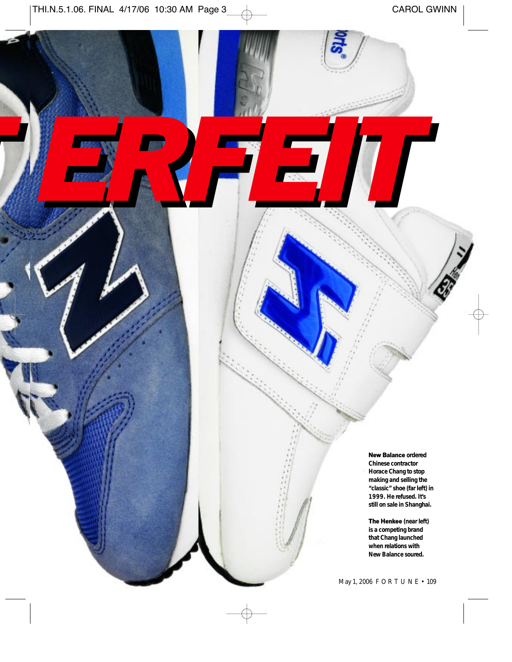*T ERFEIT*

**New Balance ordered**

**Chinese contractor Horace Chang to stop making and selling the "classic" shoe (far left) in 1999. He refused. It's still on sale in Shanghai.** 

**The Henkee (near left) is a competing brand that Chang launched when relations with New Balance soured.** 

May 1, 2006 FORTUNE • 109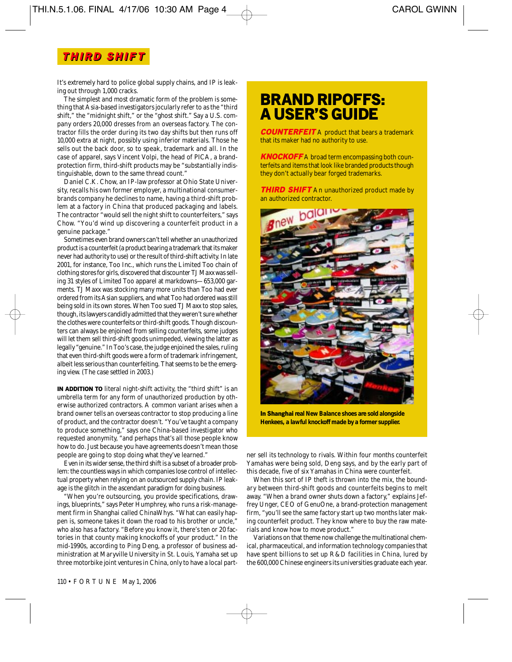### *THIR THIRD SHIF D SHIFTT*

It's extremely hard to police global supply chains, and IP is leaking out through 1,000 cracks.

The simplest and most dramatic form of the problem is something that Asia-based investigators jocularly refer to as the "third shift," the "midnight shift," or the "ghost shift." Say a U.S. company orders 20,000 dresses from an overseas factory. The contractor fills the order during its two day shifts but then runs off 10,000 extra at night, possibly using inferior materials. Those he sells out the back door, so to speak, trademark and all. In the case of apparel, says Vincent Volpi, the head of PICA, a brandprotection firm, third-shift products may be "substantially indistinguishable, down to the same thread count."

Daniel C.K. Chow, an IP-law professor at Ohio State University, recalls his own former employer, a multinational consumerbrands company he declines to name, having a third-shift problem at a factory in China that produced packaging and labels. The contractor "would sell the night shift to counterfeiters," says Chow. "You'd wind up discovering a counterfeit product in a genuine package."

Sometimes even brand owners can't tell whether an unauthorized product is a counterfeit (a product bearing a trademark that its maker never had authority to use) or the result of third-shift activity. In late 2001, for instance, Too Inc., which runs the Limited Too chain of clothing stores for girls, discovered that discounter TJ Maxx was selling 31 styles of Limited Too apparel at markdowns—653,000 garments. TJ Maxx was stocking many more units than Too had ever ordered from its Asian suppliers, and what Too had ordered was still being sold in its own stores. When Too sued TJ Maxx to stop sales, though, its lawyers candidly admitted that they weren't sure whether the clothes were counterfeits or third-shift goods. Though discounters can always be enjoined from selling counterfeits, some judges will let them sell third-shift goods unimpeded, viewing the latter as legally "genuine." In Too's case, the judge enjoined the sales, ruling that even third-shift goods were a form of trademark infringement, albeit less serious than counterfeiting. That seems to be the emerging view. (The case settled in 2003.)

**IN ADDITION TO** literal night-shift activity, the "third shift" is an umbrella term for any form of unauthorized production by otherwise authorized contractors. A common variant arises when a brand owner tells an overseas contractor to stop producing a line of product, and the contractor doesn't. "You've taught a company to produce something," says one China-based investigator who requested anonymity, "and perhaps that's all those people know how to do. Just because you have agreements doesn't mean those people are going to stop doing what they've learned."

Even in its wider sense, the third shift is a subset of a broader problem: the countless ways in which companies lose control of intellectual property when relying on an outsourced supply chain. IP leakage is the glitch in the ascendant paradigm for doing business.

"When you're outsourcing, you provide specifications, drawings, blueprints," says Peter Humphrey, who runs a risk-management firm in Shanghai called ChinaWhys. "What can easily happen is, someone takes it down the road to his brother or uncle," who also has a factory. "Before you know it, there's ten or 20 factories in that county making knockoffs of your product." In the mid-1990s, according to Ping Deng, a professor of business administration at Maryville University in St. Louis, Yamaha set up three motorbike joint ventures in China, only to have a local part-

# **BRAND RIPOFFS: A USER'S GUIDE**

*COUNTERFEIT* A product that bears a trademark that its maker had no authority to use.

*KNOCKOFF* A broad term encompassing both counterfeits and items that look like branded products though they don't actually bear forged trademarks.

**THIRD SHIFT** An unauthorized product made by an authorized contractor.



**In Shanghai real New Balance shoes are sold alongside Henkees, a lawful knockoff made by a former supplier.**

ner sell its technology to rivals. Within four months counterfeit Yamahas were being sold, Deng says, and by the early part of this decade, five of six Yamahas in China were counterfeit.

When this sort of IP theft is thrown into the mix, the boundary between third-shift goods and counterfeits begins to melt away. "When a brand owner shuts down a factory," explains Jeffrey Unger, CEO of GenuOne, a brand-protection management firm, "you'll see the same factory start up two months later making counterfeit product. They know where to buy the raw materials and know how to move product."

Variations on that theme now challenge the multinational chemical, pharmaceutical, and information technology companies that have spent billions to set up R&D facilities in China, lured by the 600,000 Chinese engineers its universities graduate each year.

110 • FORTUNE May 1, 2006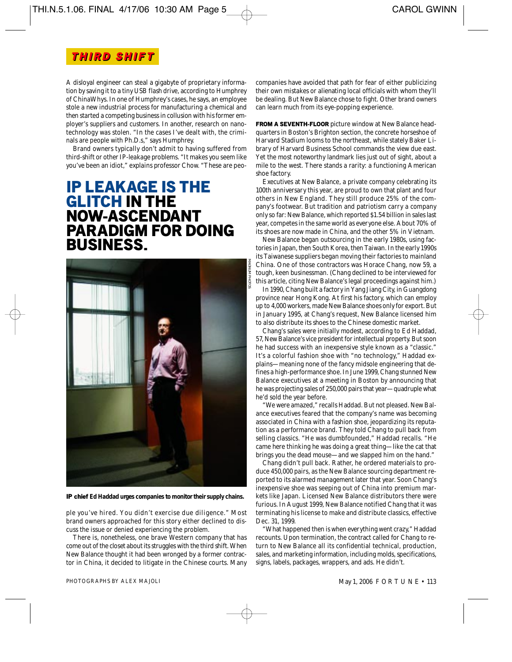#### *THIR D SHIF T THIR D SHIF T*

A disloyal engineer can steal a gigabyte of proprietary information by saving it to a tiny USB flash drive, according to Humphrey of ChinaWhys. In one of Humphrey's cases, he says, an employee stole a new industrial process for manufacturing a chemical and then started a competing business in collusion with his former employer's suppliers and customers. In another, research on nanotechnology was stolen. "In the cases I've dealt with, the criminals are people with Ph.D.s," says Humphrey.

Brand owners typically don't admit to having suffered from third-shift or other IP-leakage problems. "It makes you seem like you've been an idiot," explains professor Chow. "These are peo-

## **IP LEAKAGE IS THE GLITCH IN THE NOW-ASCENDANT PARADIGM FOR DOING BUSINESS.**



**IP chief Ed Haddad urges companies to monitor their supply chains.** 

ple you've hired. You didn't exercise due diligence." Most brand owners approached for this story either declined to discuss the issue or denied experiencing the problem.

There is, nonetheless, one brave Western company that has come out of the closet about its struggles with the third shift. When New Balance thought it had been wronged by a former contractor in China, it decided to litigate in the Chinese courts. Many

companies have avoided that path for fear of either publicizing their own mistakes or alienating local officials with whom they'll be dealing. But New Balance chose to fight. Other brand owners can learn much from its eye-popping experience.

**FROM A SEVENTH-FLOOR** picture window at New Balance headquarters in Boston's Brighton section, the concrete horseshoe of Harvard Stadium looms to the northeast, while stately Baker Library of Harvard Business School commands the view due east. Yet the most noteworthy landmark lies just out of sight, about a mile to the west. There stands a rarity: a functioning American shoe factory.

Executives at New Balance, a private company celebrating its 100th anniversary this year, are proud to own that plant and four others in New England. They still produce 25% of the company's footwear. But tradition and patriotism carry a company only so far: New Balance, which reported \$1.54 billion in sales last year, competes in the same world as everyone else. About 70% of its shoes are now made in China, and the other 5% in Vietnam.

New Balance began outsourcing in the early 1980s, using factories in Japan, then South Korea, then Taiwan. In the early 1990s its Taiwanese suppliers began moving their factories to mainland China. One of those contractors was Horace Chang, now 59, a tough, keen businessman. (Chang declined to be interviewed for this article, citing New Balance's legal proceedings against him.)

In 1990, Chang built a factory in Yang Jiang City, in Guangdong province near Hong Kong. At first his factory, which can employ up to 4,000 workers, made New Balance shoes only for export. But in January 1995, at Chang's request, New Balance licensed him to also distribute its shoes to the Chinese domestic market.

Chang's sales were initially modest, according to Ed Haddad, 57, New Balance's vice president for intellectual property. But soon he had success with an inexpensive style known as a "classic." It's a colorful fashion shoe with "no technology," Haddad explains—meaning none of the fancy midsole engineering that defines a high-performance shoe. In June 1999, Chang stunned New Balance executives at a meeting in Boston by announcing that he was projecting sales of 250,000 pairs that year—quadruple what he'd sold the year before.

"We were amazed," recalls Haddad. But not pleased. New Balance executives feared that the company's name was becoming associated in China with a fashion shoe, jeopardizing its reputation as a performance brand. They told Chang to pull back from selling classics. "He was dumbfounded," Haddad recalls. "He came here thinking he was doing a great thing—like the cat that brings you the dead mouse—and we slapped him on the hand."

Chang didn't pull back. Rather, he ordered materials to produce 450,000 pairs, as the New Balance sourcing department reported to its alarmed management later that year. Soon Chang's inexpensive shoe was seeping out of China into premium markets like Japan. Licensed New Balance distributors there were furious. In August 1999, New Balance notified Chang that it was terminating his license to make and distribute classics, effective Dec. 31, 1999.

"What happened then is when everything went crazy," Haddad recounts. Upon termination, the contract called for Chang to return to New Balance all its confidential technical, production, sales, and marketing information, including molds, specifications, signs, labels, packages, wrappers, and ads. He didn't.

PHOTOGRAPHS BY ALEX MAJOLI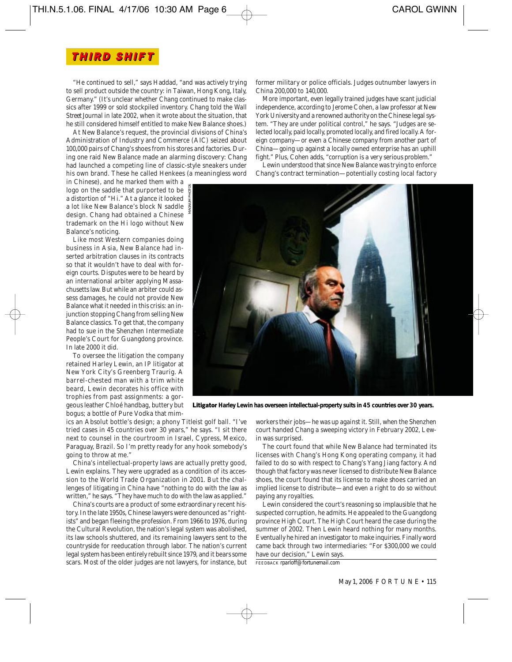"He continued to sell," says Haddad, "and was actively trying to sell product outside the country: in Taiwan, Hong Kong, Italy, Germany." (It's unclear whether Chang continued to make classics after 1999 or sold stockpiled inventory. Chang told the *Wall Street Journal* in late 2002, when it wrote about the situation, that he still considered himself entitled to make New Balance shoes.)

At New Balance's request, the provincial divisions of China's Administration of Industry and Commerce (AIC) seized about 100,000 pairs of Chang's shoes from his stores and factories. During one raid New Balance made an alarming discovery: Chang had launched a competing line of classic-style sneakers under his own brand. These he called Henkees (a meaningless word

in Chinese), and he marked them with a logo on the saddle that purported to be a distortion of "Hi." At a glance it looked a lot like New Balance's block N saddle design. Chang had obtained a Chinese trademark on the Hi logo without New Balance's noticing.

Like most Western companies doing business in Asia, New Balance had inserted arbitration clauses in its contracts so that it wouldn't have to deal with foreign courts. Disputes were to be heard by an international arbiter applying Massachusetts law. But while an arbiter could assess damages, he could not provide New Balance what it needed in this crisis: an injunction stopping Chang from selling New Balance classics. To get that, the company had to sue in the Shenzhen Intermediate People's Court for Guangdong province. In late 2000 it did.

To oversee the litigation the company retained Harley Lewin, an IP litigator at New York City's Greenberg Traurig. A barrel-chested man with a trim white beard, Lewin decorates his office with trophies from past assignments: a gorgeous leather Chloé handbag, buttery but bogus; a bottle of Pure Vodka that mim-

ics an Absolut bottle's design; a phony Titleist golf ball. "I've tried cases in 45 countries over 30 years," he says. "I sit there next to counsel in the courtroom in Israel, Cypress, Mexico, Paraguay, Brazil. So I'm pretty ready for any hook somebody's going to throw at me."

China's intellectual-property laws are actually pretty good, Lewin explains. They were upgraded as a condition of its accession to the World Trade Organization in 2001. But the challenges of litigating in China have "nothing to do with the law as written," he says. "They have much to do with the law as applied."

China's courts are a product of some extraordinary recent history. In the late 1950s, Chinese lawyers were denounced as "rightists" and began fleeing the profession. From 1966 to 1976, during the Cultural Revolution, the nation's legal system was abolished, its law schools shuttered, and its remaining lawyers sent to the countryside for reeducation through labor. The nation's current legal system has been entirely rebuilt since 1979, and it bears some scars. Most of the older judges are not lawyers, for instance, but former military or police officials. Judges outnumber lawyers in China 200,000 to 140,000.

More important, even legally trained judges have scant judicial independence, according to Jerome Cohen, a law professor at New York University and a renowned authority on the Chinese legal system. "They are under political control," he says. "Judges are selected locally, paid locally, promoted locally, and fired locally. A foreign company—or even a Chinese company from another part of China—going up against a locally owned enterprise has an uphill fight." Plus, Cohen adds, "corruption is a very serious problem."

Lewin understood that since New Balance was trying to enforce Chang's contract termination—potentially costing local factory



**Litigator Harley Lewin has overseen intellectual-property suits in 45 countries over 30 years.** 

workers their jobs—he was up against it. Still, when the Shenzhen court handed Chang a sweeping victory in February 2002, Lewin was surprised.

The court found that while New Balance had terminated its licenses with Chang's Hong Kong operating company, it had failed to do so with respect to Chang's Yang Jiang factory. And though that factory was never licensed to distribute New Balance shoes, the court found that its license to make shoes carried an implied license to distribute—and even a right to do so without paying any royalties.

Lewin considered the court's reasoning so implausible that he suspected corruption, he admits. He appealed to the Guangdong province High Court. The High Court heard the case during the summer of 2002. Then Lewin heard nothing for many months. Eventually he hired an investigator to make inquiries. Finally word came back through two intermediaries: "For \$300,000 we could have our decision," Lewin says.

FEEDBACK *rparloff@fortunemail.com*